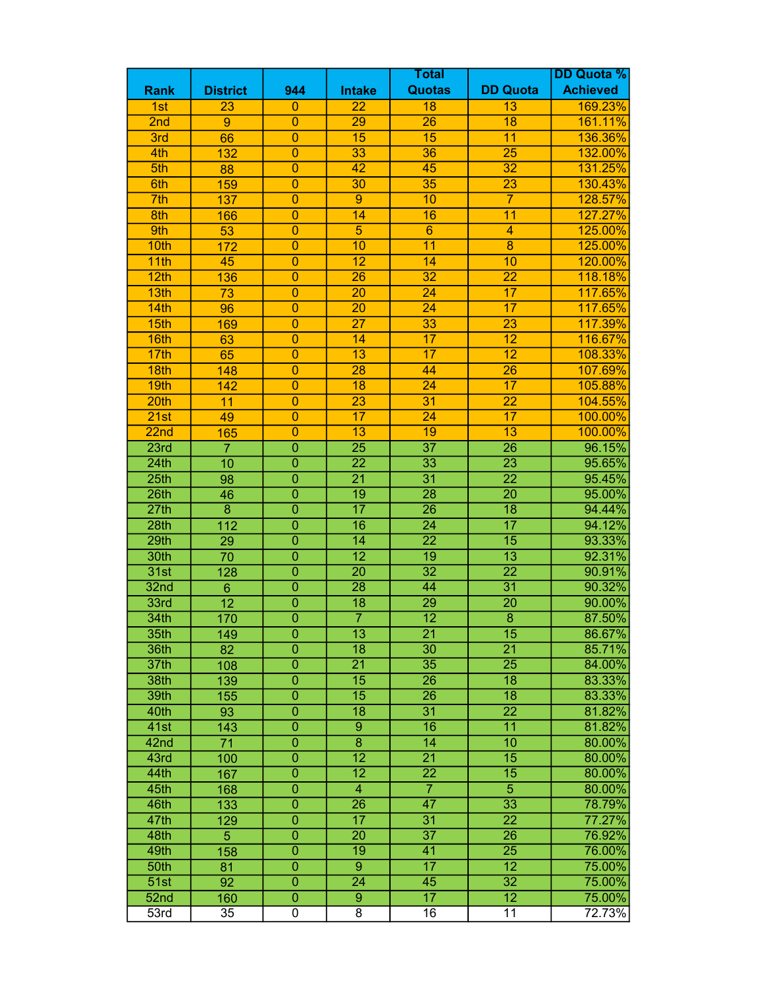|                  |                      |                |                                   | <b>Total</b>    |                 | DD Quota %       |
|------------------|----------------------|----------------|-----------------------------------|-----------------|-----------------|------------------|
| <b>Rank</b>      | <b>District</b>      | 944            | <b>Intake</b>                     | Quotas          | <b>DD Quota</b> | <b>Achieved</b>  |
| 1st              | 23                   | 0              | 22                                | 18              | 13              | 169.23%          |
| 2nd              | 9                    | $\overline{0}$ | $\overline{29}$                   | 26              | $\overline{18}$ | 161.11%          |
| 3rd              | 66                   | $\overline{0}$ | 15                                | 15              | 11              | 136.36%          |
| 4th              | 132                  | $\overline{0}$ | $\overline{33}$                   | 36              | $\overline{25}$ | 132.00%          |
| 5th              | 88                   | $\overline{0}$ | 42                                | 45              | $\overline{32}$ | 131.25%          |
| 6th              | 159                  | $\overline{0}$ | 30                                | 35              | 23              | 130.43%          |
| 7th              | 137                  | $\overline{0}$ | $\overline{9}$                    | 10              | $\overline{7}$  | 128.57%          |
| 8th              | 166                  | $\overline{0}$ | 14                                | 16              | 11              | 127.27%          |
| 9th              | 53                   | $\overline{0}$ | $\overline{5}$                    | $\overline{6}$  | $\overline{4}$  | 125.00%          |
| 10th             | 172                  | $\overline{0}$ | 10                                | 11              | $\overline{8}$  | 125.00%          |
| 11th             | 45                   | $\overline{0}$ | $\overline{12}$                   | 14              | 10              | 120.00%          |
| 12th             | 136                  | $\overline{0}$ | $\overline{26}$                   | $\overline{32}$ | $\overline{22}$ | 118.18%          |
| 13th             | 73                   | $\overline{0}$ | 20                                | 24              | 17              | 117.65%          |
| 14th             | 96                   | $\overline{0}$ | 20                                | 24              | 17              | 117.65%          |
| 15th             | 169                  | $\overline{0}$ | $\overline{27}$                   | 33              | $\overline{23}$ | 117.39%          |
| 16th             | 63                   | $\overline{0}$ | $\overline{14}$                   | 17              | 12              | 116.67%          |
| 17th             | 65                   | $\overline{0}$ | $\overline{13}$                   | 17              | $\overline{12}$ | 108.33%          |
| 18th             | 148                  | $\overline{0}$ | 28                                | 44              | 26              | 107.69%          |
| 19th             | 142                  | $\overline{0}$ | 18                                | 24              | 17              | 105.88%          |
| 20th             | 11                   | $\overline{0}$ | $\overline{23}$                   | $\overline{31}$ | $\overline{22}$ | 104.55%          |
| 21st             | 49                   | $\overline{0}$ | $\overline{17}$                   | $\overline{24}$ | $\overline{17}$ | 100.00%          |
| 22 <sub>nd</sub> | 165                  | $\overline{0}$ | $\overline{13}$                   | $\overline{19}$ | $\overline{13}$ | 100.00%          |
| 23rd             | $\overline{7}$       | $\overline{0}$ | $\overline{25}$                   | $\overline{37}$ | $\overline{26}$ | 96.15%           |
| 24th             | 10                   | $\overline{0}$ | $\overline{22}$                   | $\overline{33}$ | $\overline{23}$ | 95.65%           |
| 25th             | 98                   | $\overline{0}$ | $\overline{21}$                   | $\overline{31}$ | $\overline{22}$ | 95.45%           |
| 26th             |                      | $\overline{0}$ | $\overline{19}$                   | 28              | $\overline{20}$ | 95.00%           |
| 27th             | 46<br>$\overline{8}$ | $\overline{0}$ | $\overline{17}$                   | $\overline{26}$ | 18              | 94.44%           |
| 28th             | 112                  | $\overline{0}$ | 16                                | $\overline{24}$ | $\overline{17}$ | 94.12%           |
| 29th             |                      | $\overline{0}$ | $\overline{14}$                   | $\overline{22}$ | $\overline{15}$ | 93.33%           |
| 30th             | 29                   | $\overline{0}$ | $\overline{12}$                   | 19              | $\overline{13}$ | 92.31%           |
| 31st             | 70                   | $\overline{0}$ | $\overline{20}$                   | $\overline{32}$ | $\overline{22}$ |                  |
|                  | 128                  | $\overline{0}$ |                                   |                 |                 | 90.91%           |
| 32 <sub>nd</sub> | $6\phantom{1}$       |                | 28                                | 44              | 31              | 90.32%<br>90.00% |
| 33rd             | 12                   | $\overline{0}$ | $\overline{18}$<br>$\overline{7}$ | 29              | 20              |                  |
| 34th             | 170                  | $\overline{0}$ |                                   | $\overline{12}$ | $\overline{8}$  | 87.50%           |
| 35th             | 149                  | 0              | 13                                | 21              | 15              | 86.67%           |
| 36th             | 82                   | $\overline{0}$ | $\overline{18}$                   | $\overline{30}$ | $\overline{21}$ | 85.71%           |
| 37th             | 108                  | $\overline{0}$ | $\overline{21}$                   | $\overline{35}$ | $\overline{25}$ | 84.00%           |
| 38th             | 139                  | $\overline{0}$ | 15                                | 26              | 18              | 83.33%           |
| 39th             | 155                  | $\overline{0}$ | $\overline{15}$                   | $\overline{26}$ | $\overline{18}$ | 83.33%           |
| 40th             | 93                   | $\overline{0}$ | 18                                | $\overline{31}$ | $\overline{22}$ | 81.82%           |
| 41st             | 143                  | $\overline{0}$ | $\overline{9}$                    | $\overline{16}$ | $\overline{11}$ | 81.82%           |
| 42nd             | $\overline{71}$      | $\overline{0}$ | $\overline{8}$                    | $\overline{14}$ | 10              | 80.00%           |
| 43rd             | 100                  | $\overline{0}$ | $\overline{12}$                   | $\overline{21}$ | $\overline{15}$ | 80.00%           |
| 44th             | 167                  | $\overline{0}$ | $\overline{12}$                   | $\overline{22}$ | $\overline{15}$ | 80.00%           |
| 45th             | 168                  | $\overline{0}$ | $\overline{4}$                    | $\overline{7}$  | $\overline{5}$  | 80.00%           |
| 46th             | 133                  | $\overline{0}$ | $\overline{26}$                   | 47              | $\overline{33}$ | 78.79%           |
| 47th             | 129                  | $\overline{0}$ | $\overline{17}$                   | $\overline{31}$ | $\overline{22}$ | 77.27%           |
| 48th             | 5                    | $\overline{0}$ | 20                                | $\overline{37}$ | $\overline{26}$ | 76.92%           |
| 49th             | 158                  | $\overline{0}$ | $\overline{19}$                   | $\overline{41}$ | $\overline{25}$ | 76.00%           |
| 50th             | 81                   | $\overline{0}$ | $\overline{9}$                    | $\overline{17}$ | $\overline{12}$ | 75.00%           |
| 51st             | 92                   | $\overline{0}$ | $\overline{24}$                   | 45              | $\overline{32}$ | 75.00%           |
| 52 <sub>nd</sub> | 160                  | $\overline{0}$ | $\overline{9}$                    | $\overline{17}$ | $\overline{12}$ | 75.00%           |
| 53rd             | $\overline{35}$      | $\overline{0}$ | $\overline{8}$                    | $\overline{16}$ | 11              | 72.73%           |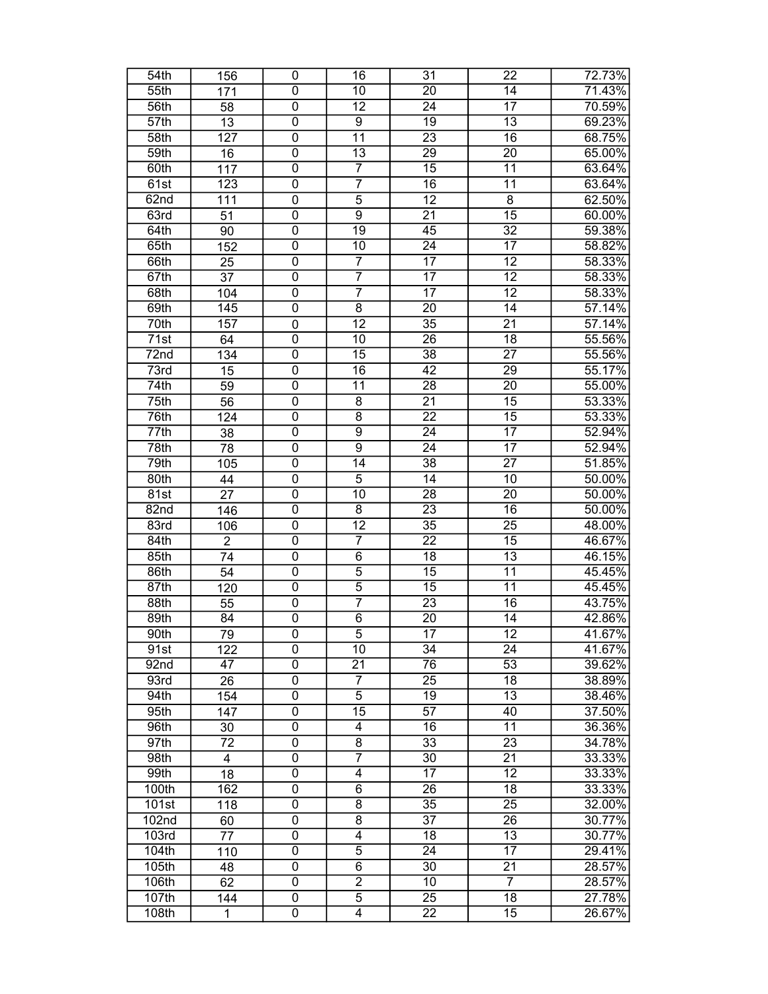| 54th               | 156              | 0                         | 16              | 31              | $\overline{22}$ | 72.73% |
|--------------------|------------------|---------------------------|-----------------|-----------------|-----------------|--------|
| 55th               | 171              | $\overline{0}$            | 10              | $\overline{20}$ | 14              | 71.43% |
| 56th               | 58               | 0                         | $\overline{12}$ | 24              | 17              | 70.59% |
| 57th               | $\overline{13}$  | $\overline{0}$            | $\overline{9}$  | $\overline{19}$ | $\overline{13}$ | 69.23% |
| 58th               | 127              | $\overline{0}$            | $\overline{11}$ | $\overline{23}$ | 16              | 68.75% |
| 59th               | 16               | $\overline{0}$            | $\overline{13}$ | $\overline{29}$ | $\overline{20}$ | 65.00% |
| 60th               | 117              | $\overline{0}$            | $\overline{7}$  | $\overline{15}$ | $\overline{11}$ | 63.64% |
| 61st               | 123              | $\overline{0}$            | $\overline{7}$  | $\overline{16}$ | $\overline{11}$ | 63.64% |
| 62nd               | 111              | 0                         | $\mathbf 5$     | 12              | 8               | 62.50% |
| 63rd               | 51               | $\overline{\mathfrak{o}}$ | $\overline{9}$  | $\overline{21}$ | $\overline{15}$ | 60.00% |
| 64th               | 90               | $\overline{0}$            | $\overline{19}$ | 45              | $\overline{32}$ | 59.38% |
| 65th               | 152              | $\overline{0}$            | 10              | $\overline{24}$ | $\overline{17}$ | 58.82% |
| 66th               | 25               | $\overline{0}$            | $\overline{7}$  | $\overline{17}$ | $\overline{12}$ | 58.33% |
| 67th               | $\overline{37}$  | $\overline{0}$            | 7               | $\overline{17}$ | $\overline{12}$ | 58.33% |
| 68th               | 104              | $\overline{0}$            | 7               | $\overline{17}$ | $\overline{12}$ | 58.33% |
| 69th               | 145              | $\overline{0}$            | $\overline{8}$  | $\overline{20}$ | $\overline{14}$ | 57.14% |
| $\overline{70}$ th | 157              | 0                         | $\overline{12}$ | $\overline{35}$ | $\overline{21}$ | 57.14% |
| 71st               | 64               | $\overline{0}$            | 10              | $\overline{26}$ | $\overline{18}$ | 55.56% |
| $\overline{72n}$ d | 134              | $\overline{0}$            | $\overline{15}$ | 38              | $\overline{27}$ | 55.56% |
| 73rd               | $\overline{15}$  | $\overline{0}$            | $\overline{16}$ | 42              | 29              | 55.17% |
| 74th               | 59               | $\overline{0}$            | 11              | $\overline{28}$ | $\overline{20}$ | 55.00% |
|                    |                  | $\overline{0}$            |                 | $\overline{21}$ |                 | 53.33% |
| 75th               | 56               |                           | $\overline{8}$  |                 | $\overline{15}$ |        |
| $\overline{76}th$  | $\overline{124}$ | $\overline{0}$            | $\overline{8}$  | $\overline{22}$ | $\overline{15}$ | 53.33% |
| $\overline{77}$ th | 38               | $\overline{0}$            | $\overline{9}$  | $\overline{24}$ | $\overline{17}$ | 52.94% |
| 78th               | $\overline{78}$  | $\overline{0}$            | $\overline{9}$  | $\overline{24}$ | $\overline{17}$ | 52.94% |
| 79th               | 105              | $\overline{0}$            | $\overline{14}$ | $\overline{38}$ | $\overline{27}$ | 51.85% |
| 80th               | 44               | $\overline{0}$            | $\overline{5}$  | $\overline{14}$ | $\overline{10}$ | 50.00% |
| 81st               | $\overline{27}$  | $\overline{0}$            | 10              | $\overline{28}$ | $\overline{20}$ | 50.00% |
| 82 <sub>nd</sub>   | 146              | $\overline{0}$            | $\overline{8}$  | $\overline{23}$ | 16              | 50.00% |
| 83rd               | 106              | $\overline{0}$            | $\overline{12}$ | $\overline{35}$ | $\overline{25}$ | 48.00% |
| 84th               | $\overline{2}$   | $\overline{0}$            | $\overline{7}$  | $\overline{22}$ | $\overline{15}$ | 46.67% |
| 85th               | 74               | $\overline{0}$            | $\overline{6}$  | $\overline{18}$ | $\overline{13}$ | 46.15% |
| 86th               | 54               | $\overline{0}$            | $\overline{5}$  | $\overline{15}$ | $\overline{11}$ | 45.45% |
| 87th               | 120              | $\overline{0}$            | $\overline{5}$  | $\overline{15}$ | $\overline{11}$ | 45.45% |
| 88th               | 55               | $\overline{0}$            | $\overline{7}$  | $\overline{23}$ | 16              | 43.75% |
| 89th               | 84               | $\overline{0}$            | $\overline{6}$  | 20              | $\overline{14}$ | 42.86% |
| 90th               | 79               | 0                         | 5               | 17              | 12              | 41.67% |
| 91st               | 122              | $\overline{0}$            | 10              | 34              | 24              | 41.67% |
| 92nd               | 47               | 0                         | $\overline{21}$ | 76              | $\overline{53}$ | 39.62% |
| 93rd               | 26               | 0                         | 7               | 25              | 18              | 38.89% |
| 94th               | 154              | $\overline{0}$            | $\overline{5}$  | $\overline{19}$ | $\overline{13}$ | 38.46% |
| 95th               | 147              | $\overline{0}$            | 15              | $\overline{57}$ | 40              | 37.50% |
| 96th               | 30               | $\overline{0}$            | 4               | $\overline{16}$ | $\overline{11}$ | 36.36% |
| 97th               | $\overline{72}$  | 0                         | $\overline{8}$  | $\overline{33}$ | $\overline{23}$ | 34.78% |
| 98th               | 4                | $\overline{0}$            | $\overline{7}$  | 30              | 21              | 33.33% |
| 99th               | $\overline{18}$  | $\overline{0}$            | $\overline{4}$  | $\overline{17}$ | $\overline{12}$ | 33.33% |
| 100th              | 162              | $\overline{0}$            | $\overline{6}$  | 26              | $\overline{18}$ | 33.33% |
| 101st              | 118              | $\overline{0}$            | $\overline{8}$  | $\overline{35}$ | $\overline{25}$ | 32.00% |
| 102nd              | 60               | $\overline{0}$            | $\overline{8}$  | $\overline{37}$ | $\overline{26}$ | 30.77% |
| 103rd              | 77               | $\overline{0}$            | $\overline{4}$  | $\overline{18}$ | $\overline{13}$ | 30.77% |
| 104th              | 110              | $\overline{0}$            | $\overline{5}$  | 24              | 17              | 29.41% |
| 105th              | 48               | $\overline{0}$            | $\overline{6}$  | 30              | $\overline{21}$ | 28.57% |
| 106th              | 62               | 0                         | $\overline{2}$  | 10              | 7               | 28.57% |
| 107th              | 144              | $\overline{0}$            | $\overline{5}$  | $\overline{25}$ | 18              | 27.78% |
| 108th              | $\mathbf{1}$     | $\overline{0}$            | $\overline{4}$  | $\overline{22}$ | $\overline{15}$ | 26.67% |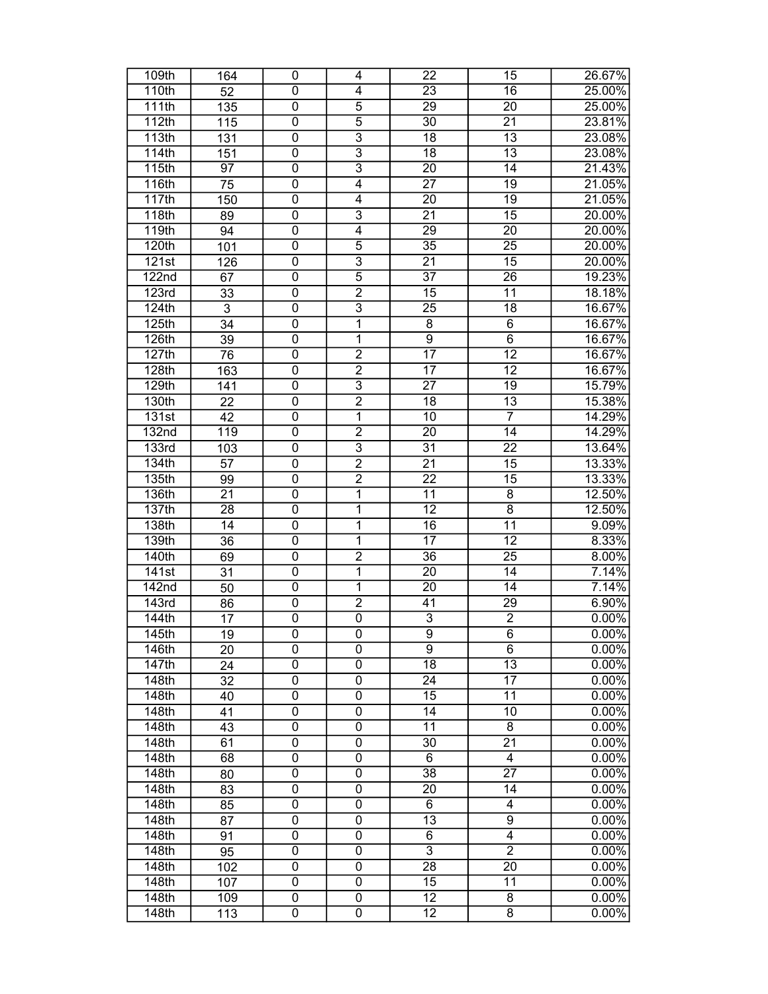| $\overline{0}$<br>16<br>25.00%<br>110th<br>52<br>4<br>23<br>$\overline{5}$<br>25.00%<br>111th<br>0<br>29<br>20<br>135<br>$\overline{5}$<br>$\overline{0}$<br>23.81%<br>112th<br>30<br>$\overline{21}$<br>115<br>$\overline{3}$<br>23.08%<br>113th<br>$\overline{0}$<br>$\overline{18}$<br>$\overline{13}$<br>131<br>$\overline{3}$<br>$\overline{13}$<br>23.08%<br>114th<br>$\overline{0}$<br>$\overline{18}$<br>151<br>$\overline{3}$<br>97<br>$\overline{14}$<br>21.43%<br>115th<br>$\overline{0}$<br>20<br>$\overline{0}$<br>$\overline{4}$<br>$\overline{27}$<br>$\overline{19}$<br>21.05%<br><b>116th</b><br>75<br>$\overline{4}$<br>$\overline{19}$<br>21.05%<br>117th<br>$\overline{0}$<br>20<br>150<br>$\overline{3}$<br>118th<br>$\overline{0}$<br>$\overline{21}$<br>$\overline{15}$<br>20.00%<br>89<br>20.00%<br>119th<br>$\overline{0}$<br>$\overline{4}$<br>29<br>20<br>94<br>$\overline{5}$<br>$\overline{0}$<br>$\overline{35}$<br>$\overline{25}$<br>20.00%<br>$\overline{120}$ th<br>101<br>$\overline{3}$<br>$\overline{0}$<br>$\overline{21}$<br>$\overline{15}$<br>20.00%<br>$\overline{121st}$<br>126<br>$\overline{5}$<br>19.23%<br>$\overline{0}$<br>$\overline{37}$<br>$\overline{26}$<br>$\overline{122}$ nd<br>67<br>$\overline{2}$<br>$\overline{11}$<br>18.18%<br>123rd<br>0<br>15<br>33<br>$\overline{3}$<br>$\overline{0}$<br>$\overline{25}$<br>$\overline{18}$<br>16.67%<br>124th<br>$\ensuremath{\mathsf{3}}$<br>$\overline{1}$<br>16.67%<br>125th<br>0<br>8<br>6<br>34<br>$\overline{\mathbf{1}}$<br>$\overline{0}$<br>$\overline{9}$<br>$\overline{6}$<br>16.67%<br>126th<br>39<br>$\overline{2}$<br>$\overline{17}$<br>$\overline{12}$<br>127th<br>0<br>16.67%<br>76<br>$\overline{2}$<br>163<br>0<br>17<br>12<br>16.67%<br>128th<br>$\overline{\overline{3}}$<br>$\overline{27}$<br>15.79%<br>129th<br>0<br>19<br>141<br>$\overline{2}$<br>$\overline{13}$<br>15.38%<br>130th<br>22<br>0<br>18<br>$\overline{1}$<br>$\overline{7}$<br>$\overline{42}$<br>$\overline{0}$<br>$\overline{10}$<br>14.29%<br>$\overline{131}$ st<br>$\overline{2}$<br>$\overline{0}$<br>$\overline{14}$<br>14.29%<br>$\overline{132}$ nd<br>119<br>20<br>$\overline{\mathbf{3}}$<br>$\overline{0}$<br>$\overline{22}$<br>13.64%<br>103<br>31<br>133rd<br>$\overline{2}$<br>13.33%<br>134th<br>57<br>0<br>21<br>15<br>$\overline{2}$<br>$\overline{15}$<br>$\overline{0}$<br>$\overline{22}$<br>13.33%<br>135th<br>99<br>$\overline{1}$<br>$\overline{21}$<br>$\overline{0}$<br>$\overline{8}$<br>12.50%<br>136th<br>11<br>$\overline{8}$<br>$\overline{0}$<br>$\overline{1}$<br>$\overline{12}$<br>$\overline{28}$<br>12.50%<br>137th<br>$\overline{0}$<br>$\overline{\mathbf{1}}$<br>$\overline{11}$<br>9.09%<br>138th<br>$\overline{14}$<br>16<br>$\overline{1}$<br>$\overline{0}$<br>$\overline{17}$<br>$\overline{12}$<br>8.33%<br>139th<br>36<br>$\overline{2}$<br>$\overline{0}$<br>$\overline{36}$<br>$\overline{25}$<br>8.00%<br>140th<br>69<br>$\overline{1}$<br>$\overline{0}$<br>$\overline{20}$<br>$\overline{14}$<br>7.14%<br>$\overline{141st}$<br>31<br>$\overline{1}$<br>$\overline{14}$<br>7.14%<br>142 <sub>nd</sub><br>$\overline{0}$<br>20<br>50<br>$\overline{2}$<br>$\overline{0}$<br>$\overline{29}$<br>$6.90\%$<br><b>143rd</b><br>41<br>86<br>$\overline{3}$<br>$0.00\%$<br>$\overline{0}$<br>$\overline{0}$<br>$\overline{2}$<br>144th<br>17<br>145th<br>19<br>0<br>0<br>9<br>6<br>$0.00\%$<br>$\overline{0}$<br>$\overline{9}$<br>$\overline{6}$<br>$0.00\%$<br>146th<br>0<br>20<br>$\overline{13}$<br>147th<br>0<br>0<br>18<br>0.00%<br>24<br>$\overline{17}$<br>$0.00\%$<br>148th<br>0<br>0<br>24<br>32<br>$\overline{0}$<br>$\overline{0}$<br>$0.00\%$<br>148th<br>15<br>11<br>40<br>$\overline{14}$<br>$0.00\%$<br>148th<br>0<br>0<br>10<br>41<br>$\overline{0}$<br>$\overline{0}$<br>$\overline{11}$<br>$\overline{8}$<br>$0.00\%$<br>148th<br>43<br>61<br>$\overline{0}$<br>148th<br>0<br>30<br>21<br>$0.00\%$<br>$\overline{68}$<br>$\overline{0}$<br>$\overline{6}$<br>$\overline{148}$ th<br>0<br>$\overline{4}$<br>0.00%<br>$\overline{27}$<br>$\overline{0}$<br>$\overline{0}$<br>$\overline{38}$<br>$0.00\%$<br>148th<br>80<br>$\overline{0}$<br>$\overline{0}$<br>$0.00\%$<br>148th<br>83<br>20<br>14<br>$\overline{0}$<br>$\overline{0}$<br>$\overline{6}$<br>$0.00\%$<br>148th<br>85<br>4<br>$\overline{0}$<br>$\overline{0}$<br>$\overline{13}$<br>$\overline{9}$<br>$0.00\%$<br>148th<br>87<br>$\overline{0}$<br>$\overline{0}$<br>$\overline{4}$<br>$0.00\%$<br>148th<br>6<br>91<br>$\overline{3}$<br>$\overline{2}$<br>$\overline{0}$<br>$\overline{0}$<br>$0.00\%$<br>148th<br>95<br>$\overline{0}$<br>$\overline{0}$<br>$\overline{28}$<br>$0.00\%$<br>148th<br>20<br>102<br>0<br>0<br>15<br>11<br>0.00%<br>148th<br>107<br>$\overline{0}$<br>$0.00\%$<br>148th<br>109<br>$\overline{0}$<br>$\overline{12}$<br>$\overline{8}$<br>148th<br>$\overline{0}$<br>$\overline{0}$<br>$\overline{12}$<br>$\overline{8}$<br>$0.00\%$<br>113 | 109th | 164 | 0 | 4 | 22 | 15 | 26.67% |
|----------------------------------------------------------------------------------------------------------------------------------------------------------------------------------------------------------------------------------------------------------------------------------------------------------------------------------------------------------------------------------------------------------------------------------------------------------------------------------------------------------------------------------------------------------------------------------------------------------------------------------------------------------------------------------------------------------------------------------------------------------------------------------------------------------------------------------------------------------------------------------------------------------------------------------------------------------------------------------------------------------------------------------------------------------------------------------------------------------------------------------------------------------------------------------------------------------------------------------------------------------------------------------------------------------------------------------------------------------------------------------------------------------------------------------------------------------------------------------------------------------------------------------------------------------------------------------------------------------------------------------------------------------------------------------------------------------------------------------------------------------------------------------------------------------------------------------------------------------------------------------------------------------------------------------------------------------------------------------------------------------------------------------------------------------------------------------------------------------------------------------------------------------------------------------------------------------------------------------------------------------------------------------------------------------------------------------------------------------------------------------------------------------------------------------------------------------------------------------------------------------------------------------------------------------------------------------------------------------------------------------------------------------------------------------------------------------------------------------------------------------------------------------------------------------------------------------------------------------------------------------------------------------------------------------------------------------------------------------------------------------------------------------------------------------------------------------------------------------------------------------------------------------------------------------------------------------------------------------------------------------------------------------------------------------------------------------------------------------------------------------------------------------------------------------------------------------------------------------------------------------------------------------------------------------------------------------------------------------------------------------------------------------------------------------------------------------------------------------------------------------------------------------------------------------------------------------------------------------------------------------------------------------------------------------------------------------------------------------------------------------------------------------------------------------------------------------------------------------------------------------------------------------------------------------------------------------------------------------------------------------------------------------------------------------------------------------------------------------------------------------------------------------------------------------------------------------------------------------------------------------------------------------------------------------------------------------------------------------------------------------------------------------------------------------------------------------------------------------------------------------------------------------------------------------------------------------------------------------------------------------------------------------------------------------------------------------------------------------------------------|-------|-----|---|---|----|----|--------|
|                                                                                                                                                                                                                                                                                                                                                                                                                                                                                                                                                                                                                                                                                                                                                                                                                                                                                                                                                                                                                                                                                                                                                                                                                                                                                                                                                                                                                                                                                                                                                                                                                                                                                                                                                                                                                                                                                                                                                                                                                                                                                                                                                                                                                                                                                                                                                                                                                                                                                                                                                                                                                                                                                                                                                                                                                                                                                                                                                                                                                                                                                                                                                                                                                                                                                                                                                                                                                                                                                                                                                                                                                                                                                                                                                                                                                                                                                                                                                                                                                                                                                                                                                                                                                                                                                                                                                                                                                                                                                                                                                                                                                                                                                                                                                                                                                                                                                                                                                                                                    |       |     |   |   |    |    |        |
|                                                                                                                                                                                                                                                                                                                                                                                                                                                                                                                                                                                                                                                                                                                                                                                                                                                                                                                                                                                                                                                                                                                                                                                                                                                                                                                                                                                                                                                                                                                                                                                                                                                                                                                                                                                                                                                                                                                                                                                                                                                                                                                                                                                                                                                                                                                                                                                                                                                                                                                                                                                                                                                                                                                                                                                                                                                                                                                                                                                                                                                                                                                                                                                                                                                                                                                                                                                                                                                                                                                                                                                                                                                                                                                                                                                                                                                                                                                                                                                                                                                                                                                                                                                                                                                                                                                                                                                                                                                                                                                                                                                                                                                                                                                                                                                                                                                                                                                                                                                                    |       |     |   |   |    |    |        |
|                                                                                                                                                                                                                                                                                                                                                                                                                                                                                                                                                                                                                                                                                                                                                                                                                                                                                                                                                                                                                                                                                                                                                                                                                                                                                                                                                                                                                                                                                                                                                                                                                                                                                                                                                                                                                                                                                                                                                                                                                                                                                                                                                                                                                                                                                                                                                                                                                                                                                                                                                                                                                                                                                                                                                                                                                                                                                                                                                                                                                                                                                                                                                                                                                                                                                                                                                                                                                                                                                                                                                                                                                                                                                                                                                                                                                                                                                                                                                                                                                                                                                                                                                                                                                                                                                                                                                                                                                                                                                                                                                                                                                                                                                                                                                                                                                                                                                                                                                                                                    |       |     |   |   |    |    |        |
|                                                                                                                                                                                                                                                                                                                                                                                                                                                                                                                                                                                                                                                                                                                                                                                                                                                                                                                                                                                                                                                                                                                                                                                                                                                                                                                                                                                                                                                                                                                                                                                                                                                                                                                                                                                                                                                                                                                                                                                                                                                                                                                                                                                                                                                                                                                                                                                                                                                                                                                                                                                                                                                                                                                                                                                                                                                                                                                                                                                                                                                                                                                                                                                                                                                                                                                                                                                                                                                                                                                                                                                                                                                                                                                                                                                                                                                                                                                                                                                                                                                                                                                                                                                                                                                                                                                                                                                                                                                                                                                                                                                                                                                                                                                                                                                                                                                                                                                                                                                                    |       |     |   |   |    |    |        |
|                                                                                                                                                                                                                                                                                                                                                                                                                                                                                                                                                                                                                                                                                                                                                                                                                                                                                                                                                                                                                                                                                                                                                                                                                                                                                                                                                                                                                                                                                                                                                                                                                                                                                                                                                                                                                                                                                                                                                                                                                                                                                                                                                                                                                                                                                                                                                                                                                                                                                                                                                                                                                                                                                                                                                                                                                                                                                                                                                                                                                                                                                                                                                                                                                                                                                                                                                                                                                                                                                                                                                                                                                                                                                                                                                                                                                                                                                                                                                                                                                                                                                                                                                                                                                                                                                                                                                                                                                                                                                                                                                                                                                                                                                                                                                                                                                                                                                                                                                                                                    |       |     |   |   |    |    |        |
|                                                                                                                                                                                                                                                                                                                                                                                                                                                                                                                                                                                                                                                                                                                                                                                                                                                                                                                                                                                                                                                                                                                                                                                                                                                                                                                                                                                                                                                                                                                                                                                                                                                                                                                                                                                                                                                                                                                                                                                                                                                                                                                                                                                                                                                                                                                                                                                                                                                                                                                                                                                                                                                                                                                                                                                                                                                                                                                                                                                                                                                                                                                                                                                                                                                                                                                                                                                                                                                                                                                                                                                                                                                                                                                                                                                                                                                                                                                                                                                                                                                                                                                                                                                                                                                                                                                                                                                                                                                                                                                                                                                                                                                                                                                                                                                                                                                                                                                                                                                                    |       |     |   |   |    |    |        |
|                                                                                                                                                                                                                                                                                                                                                                                                                                                                                                                                                                                                                                                                                                                                                                                                                                                                                                                                                                                                                                                                                                                                                                                                                                                                                                                                                                                                                                                                                                                                                                                                                                                                                                                                                                                                                                                                                                                                                                                                                                                                                                                                                                                                                                                                                                                                                                                                                                                                                                                                                                                                                                                                                                                                                                                                                                                                                                                                                                                                                                                                                                                                                                                                                                                                                                                                                                                                                                                                                                                                                                                                                                                                                                                                                                                                                                                                                                                                                                                                                                                                                                                                                                                                                                                                                                                                                                                                                                                                                                                                                                                                                                                                                                                                                                                                                                                                                                                                                                                                    |       |     |   |   |    |    |        |
|                                                                                                                                                                                                                                                                                                                                                                                                                                                                                                                                                                                                                                                                                                                                                                                                                                                                                                                                                                                                                                                                                                                                                                                                                                                                                                                                                                                                                                                                                                                                                                                                                                                                                                                                                                                                                                                                                                                                                                                                                                                                                                                                                                                                                                                                                                                                                                                                                                                                                                                                                                                                                                                                                                                                                                                                                                                                                                                                                                                                                                                                                                                                                                                                                                                                                                                                                                                                                                                                                                                                                                                                                                                                                                                                                                                                                                                                                                                                                                                                                                                                                                                                                                                                                                                                                                                                                                                                                                                                                                                                                                                                                                                                                                                                                                                                                                                                                                                                                                                                    |       |     |   |   |    |    |        |
|                                                                                                                                                                                                                                                                                                                                                                                                                                                                                                                                                                                                                                                                                                                                                                                                                                                                                                                                                                                                                                                                                                                                                                                                                                                                                                                                                                                                                                                                                                                                                                                                                                                                                                                                                                                                                                                                                                                                                                                                                                                                                                                                                                                                                                                                                                                                                                                                                                                                                                                                                                                                                                                                                                                                                                                                                                                                                                                                                                                                                                                                                                                                                                                                                                                                                                                                                                                                                                                                                                                                                                                                                                                                                                                                                                                                                                                                                                                                                                                                                                                                                                                                                                                                                                                                                                                                                                                                                                                                                                                                                                                                                                                                                                                                                                                                                                                                                                                                                                                                    |       |     |   |   |    |    |        |
|                                                                                                                                                                                                                                                                                                                                                                                                                                                                                                                                                                                                                                                                                                                                                                                                                                                                                                                                                                                                                                                                                                                                                                                                                                                                                                                                                                                                                                                                                                                                                                                                                                                                                                                                                                                                                                                                                                                                                                                                                                                                                                                                                                                                                                                                                                                                                                                                                                                                                                                                                                                                                                                                                                                                                                                                                                                                                                                                                                                                                                                                                                                                                                                                                                                                                                                                                                                                                                                                                                                                                                                                                                                                                                                                                                                                                                                                                                                                                                                                                                                                                                                                                                                                                                                                                                                                                                                                                                                                                                                                                                                                                                                                                                                                                                                                                                                                                                                                                                                                    |       |     |   |   |    |    |        |
|                                                                                                                                                                                                                                                                                                                                                                                                                                                                                                                                                                                                                                                                                                                                                                                                                                                                                                                                                                                                                                                                                                                                                                                                                                                                                                                                                                                                                                                                                                                                                                                                                                                                                                                                                                                                                                                                                                                                                                                                                                                                                                                                                                                                                                                                                                                                                                                                                                                                                                                                                                                                                                                                                                                                                                                                                                                                                                                                                                                                                                                                                                                                                                                                                                                                                                                                                                                                                                                                                                                                                                                                                                                                                                                                                                                                                                                                                                                                                                                                                                                                                                                                                                                                                                                                                                                                                                                                                                                                                                                                                                                                                                                                                                                                                                                                                                                                                                                                                                                                    |       |     |   |   |    |    |        |
|                                                                                                                                                                                                                                                                                                                                                                                                                                                                                                                                                                                                                                                                                                                                                                                                                                                                                                                                                                                                                                                                                                                                                                                                                                                                                                                                                                                                                                                                                                                                                                                                                                                                                                                                                                                                                                                                                                                                                                                                                                                                                                                                                                                                                                                                                                                                                                                                                                                                                                                                                                                                                                                                                                                                                                                                                                                                                                                                                                                                                                                                                                                                                                                                                                                                                                                                                                                                                                                                                                                                                                                                                                                                                                                                                                                                                                                                                                                                                                                                                                                                                                                                                                                                                                                                                                                                                                                                                                                                                                                                                                                                                                                                                                                                                                                                                                                                                                                                                                                                    |       |     |   |   |    |    |        |
|                                                                                                                                                                                                                                                                                                                                                                                                                                                                                                                                                                                                                                                                                                                                                                                                                                                                                                                                                                                                                                                                                                                                                                                                                                                                                                                                                                                                                                                                                                                                                                                                                                                                                                                                                                                                                                                                                                                                                                                                                                                                                                                                                                                                                                                                                                                                                                                                                                                                                                                                                                                                                                                                                                                                                                                                                                                                                                                                                                                                                                                                                                                                                                                                                                                                                                                                                                                                                                                                                                                                                                                                                                                                                                                                                                                                                                                                                                                                                                                                                                                                                                                                                                                                                                                                                                                                                                                                                                                                                                                                                                                                                                                                                                                                                                                                                                                                                                                                                                                                    |       |     |   |   |    |    |        |
|                                                                                                                                                                                                                                                                                                                                                                                                                                                                                                                                                                                                                                                                                                                                                                                                                                                                                                                                                                                                                                                                                                                                                                                                                                                                                                                                                                                                                                                                                                                                                                                                                                                                                                                                                                                                                                                                                                                                                                                                                                                                                                                                                                                                                                                                                                                                                                                                                                                                                                                                                                                                                                                                                                                                                                                                                                                                                                                                                                                                                                                                                                                                                                                                                                                                                                                                                                                                                                                                                                                                                                                                                                                                                                                                                                                                                                                                                                                                                                                                                                                                                                                                                                                                                                                                                                                                                                                                                                                                                                                                                                                                                                                                                                                                                                                                                                                                                                                                                                                                    |       |     |   |   |    |    |        |
|                                                                                                                                                                                                                                                                                                                                                                                                                                                                                                                                                                                                                                                                                                                                                                                                                                                                                                                                                                                                                                                                                                                                                                                                                                                                                                                                                                                                                                                                                                                                                                                                                                                                                                                                                                                                                                                                                                                                                                                                                                                                                                                                                                                                                                                                                                                                                                                                                                                                                                                                                                                                                                                                                                                                                                                                                                                                                                                                                                                                                                                                                                                                                                                                                                                                                                                                                                                                                                                                                                                                                                                                                                                                                                                                                                                                                                                                                                                                                                                                                                                                                                                                                                                                                                                                                                                                                                                                                                                                                                                                                                                                                                                                                                                                                                                                                                                                                                                                                                                                    |       |     |   |   |    |    |        |
|                                                                                                                                                                                                                                                                                                                                                                                                                                                                                                                                                                                                                                                                                                                                                                                                                                                                                                                                                                                                                                                                                                                                                                                                                                                                                                                                                                                                                                                                                                                                                                                                                                                                                                                                                                                                                                                                                                                                                                                                                                                                                                                                                                                                                                                                                                                                                                                                                                                                                                                                                                                                                                                                                                                                                                                                                                                                                                                                                                                                                                                                                                                                                                                                                                                                                                                                                                                                                                                                                                                                                                                                                                                                                                                                                                                                                                                                                                                                                                                                                                                                                                                                                                                                                                                                                                                                                                                                                                                                                                                                                                                                                                                                                                                                                                                                                                                                                                                                                                                                    |       |     |   |   |    |    |        |
|                                                                                                                                                                                                                                                                                                                                                                                                                                                                                                                                                                                                                                                                                                                                                                                                                                                                                                                                                                                                                                                                                                                                                                                                                                                                                                                                                                                                                                                                                                                                                                                                                                                                                                                                                                                                                                                                                                                                                                                                                                                                                                                                                                                                                                                                                                                                                                                                                                                                                                                                                                                                                                                                                                                                                                                                                                                                                                                                                                                                                                                                                                                                                                                                                                                                                                                                                                                                                                                                                                                                                                                                                                                                                                                                                                                                                                                                                                                                                                                                                                                                                                                                                                                                                                                                                                                                                                                                                                                                                                                                                                                                                                                                                                                                                                                                                                                                                                                                                                                                    |       |     |   |   |    |    |        |
|                                                                                                                                                                                                                                                                                                                                                                                                                                                                                                                                                                                                                                                                                                                                                                                                                                                                                                                                                                                                                                                                                                                                                                                                                                                                                                                                                                                                                                                                                                                                                                                                                                                                                                                                                                                                                                                                                                                                                                                                                                                                                                                                                                                                                                                                                                                                                                                                                                                                                                                                                                                                                                                                                                                                                                                                                                                                                                                                                                                                                                                                                                                                                                                                                                                                                                                                                                                                                                                                                                                                                                                                                                                                                                                                                                                                                                                                                                                                                                                                                                                                                                                                                                                                                                                                                                                                                                                                                                                                                                                                                                                                                                                                                                                                                                                                                                                                                                                                                                                                    |       |     |   |   |    |    |        |
|                                                                                                                                                                                                                                                                                                                                                                                                                                                                                                                                                                                                                                                                                                                                                                                                                                                                                                                                                                                                                                                                                                                                                                                                                                                                                                                                                                                                                                                                                                                                                                                                                                                                                                                                                                                                                                                                                                                                                                                                                                                                                                                                                                                                                                                                                                                                                                                                                                                                                                                                                                                                                                                                                                                                                                                                                                                                                                                                                                                                                                                                                                                                                                                                                                                                                                                                                                                                                                                                                                                                                                                                                                                                                                                                                                                                                                                                                                                                                                                                                                                                                                                                                                                                                                                                                                                                                                                                                                                                                                                                                                                                                                                                                                                                                                                                                                                                                                                                                                                                    |       |     |   |   |    |    |        |
|                                                                                                                                                                                                                                                                                                                                                                                                                                                                                                                                                                                                                                                                                                                                                                                                                                                                                                                                                                                                                                                                                                                                                                                                                                                                                                                                                                                                                                                                                                                                                                                                                                                                                                                                                                                                                                                                                                                                                                                                                                                                                                                                                                                                                                                                                                                                                                                                                                                                                                                                                                                                                                                                                                                                                                                                                                                                                                                                                                                                                                                                                                                                                                                                                                                                                                                                                                                                                                                                                                                                                                                                                                                                                                                                                                                                                                                                                                                                                                                                                                                                                                                                                                                                                                                                                                                                                                                                                                                                                                                                                                                                                                                                                                                                                                                                                                                                                                                                                                                                    |       |     |   |   |    |    |        |
|                                                                                                                                                                                                                                                                                                                                                                                                                                                                                                                                                                                                                                                                                                                                                                                                                                                                                                                                                                                                                                                                                                                                                                                                                                                                                                                                                                                                                                                                                                                                                                                                                                                                                                                                                                                                                                                                                                                                                                                                                                                                                                                                                                                                                                                                                                                                                                                                                                                                                                                                                                                                                                                                                                                                                                                                                                                                                                                                                                                                                                                                                                                                                                                                                                                                                                                                                                                                                                                                                                                                                                                                                                                                                                                                                                                                                                                                                                                                                                                                                                                                                                                                                                                                                                                                                                                                                                                                                                                                                                                                                                                                                                                                                                                                                                                                                                                                                                                                                                                                    |       |     |   |   |    |    |        |
|                                                                                                                                                                                                                                                                                                                                                                                                                                                                                                                                                                                                                                                                                                                                                                                                                                                                                                                                                                                                                                                                                                                                                                                                                                                                                                                                                                                                                                                                                                                                                                                                                                                                                                                                                                                                                                                                                                                                                                                                                                                                                                                                                                                                                                                                                                                                                                                                                                                                                                                                                                                                                                                                                                                                                                                                                                                                                                                                                                                                                                                                                                                                                                                                                                                                                                                                                                                                                                                                                                                                                                                                                                                                                                                                                                                                                                                                                                                                                                                                                                                                                                                                                                                                                                                                                                                                                                                                                                                                                                                                                                                                                                                                                                                                                                                                                                                                                                                                                                                                    |       |     |   |   |    |    |        |
|                                                                                                                                                                                                                                                                                                                                                                                                                                                                                                                                                                                                                                                                                                                                                                                                                                                                                                                                                                                                                                                                                                                                                                                                                                                                                                                                                                                                                                                                                                                                                                                                                                                                                                                                                                                                                                                                                                                                                                                                                                                                                                                                                                                                                                                                                                                                                                                                                                                                                                                                                                                                                                                                                                                                                                                                                                                                                                                                                                                                                                                                                                                                                                                                                                                                                                                                                                                                                                                                                                                                                                                                                                                                                                                                                                                                                                                                                                                                                                                                                                                                                                                                                                                                                                                                                                                                                                                                                                                                                                                                                                                                                                                                                                                                                                                                                                                                                                                                                                                                    |       |     |   |   |    |    |        |
|                                                                                                                                                                                                                                                                                                                                                                                                                                                                                                                                                                                                                                                                                                                                                                                                                                                                                                                                                                                                                                                                                                                                                                                                                                                                                                                                                                                                                                                                                                                                                                                                                                                                                                                                                                                                                                                                                                                                                                                                                                                                                                                                                                                                                                                                                                                                                                                                                                                                                                                                                                                                                                                                                                                                                                                                                                                                                                                                                                                                                                                                                                                                                                                                                                                                                                                                                                                                                                                                                                                                                                                                                                                                                                                                                                                                                                                                                                                                                                                                                                                                                                                                                                                                                                                                                                                                                                                                                                                                                                                                                                                                                                                                                                                                                                                                                                                                                                                                                                                                    |       |     |   |   |    |    |        |
|                                                                                                                                                                                                                                                                                                                                                                                                                                                                                                                                                                                                                                                                                                                                                                                                                                                                                                                                                                                                                                                                                                                                                                                                                                                                                                                                                                                                                                                                                                                                                                                                                                                                                                                                                                                                                                                                                                                                                                                                                                                                                                                                                                                                                                                                                                                                                                                                                                                                                                                                                                                                                                                                                                                                                                                                                                                                                                                                                                                                                                                                                                                                                                                                                                                                                                                                                                                                                                                                                                                                                                                                                                                                                                                                                                                                                                                                                                                                                                                                                                                                                                                                                                                                                                                                                                                                                                                                                                                                                                                                                                                                                                                                                                                                                                                                                                                                                                                                                                                                    |       |     |   |   |    |    |        |
|                                                                                                                                                                                                                                                                                                                                                                                                                                                                                                                                                                                                                                                                                                                                                                                                                                                                                                                                                                                                                                                                                                                                                                                                                                                                                                                                                                                                                                                                                                                                                                                                                                                                                                                                                                                                                                                                                                                                                                                                                                                                                                                                                                                                                                                                                                                                                                                                                                                                                                                                                                                                                                                                                                                                                                                                                                                                                                                                                                                                                                                                                                                                                                                                                                                                                                                                                                                                                                                                                                                                                                                                                                                                                                                                                                                                                                                                                                                                                                                                                                                                                                                                                                                                                                                                                                                                                                                                                                                                                                                                                                                                                                                                                                                                                                                                                                                                                                                                                                                                    |       |     |   |   |    |    |        |
|                                                                                                                                                                                                                                                                                                                                                                                                                                                                                                                                                                                                                                                                                                                                                                                                                                                                                                                                                                                                                                                                                                                                                                                                                                                                                                                                                                                                                                                                                                                                                                                                                                                                                                                                                                                                                                                                                                                                                                                                                                                                                                                                                                                                                                                                                                                                                                                                                                                                                                                                                                                                                                                                                                                                                                                                                                                                                                                                                                                                                                                                                                                                                                                                                                                                                                                                                                                                                                                                                                                                                                                                                                                                                                                                                                                                                                                                                                                                                                                                                                                                                                                                                                                                                                                                                                                                                                                                                                                                                                                                                                                                                                                                                                                                                                                                                                                                                                                                                                                                    |       |     |   |   |    |    |        |
|                                                                                                                                                                                                                                                                                                                                                                                                                                                                                                                                                                                                                                                                                                                                                                                                                                                                                                                                                                                                                                                                                                                                                                                                                                                                                                                                                                                                                                                                                                                                                                                                                                                                                                                                                                                                                                                                                                                                                                                                                                                                                                                                                                                                                                                                                                                                                                                                                                                                                                                                                                                                                                                                                                                                                                                                                                                                                                                                                                                                                                                                                                                                                                                                                                                                                                                                                                                                                                                                                                                                                                                                                                                                                                                                                                                                                                                                                                                                                                                                                                                                                                                                                                                                                                                                                                                                                                                                                                                                                                                                                                                                                                                                                                                                                                                                                                                                                                                                                                                                    |       |     |   |   |    |    |        |
|                                                                                                                                                                                                                                                                                                                                                                                                                                                                                                                                                                                                                                                                                                                                                                                                                                                                                                                                                                                                                                                                                                                                                                                                                                                                                                                                                                                                                                                                                                                                                                                                                                                                                                                                                                                                                                                                                                                                                                                                                                                                                                                                                                                                                                                                                                                                                                                                                                                                                                                                                                                                                                                                                                                                                                                                                                                                                                                                                                                                                                                                                                                                                                                                                                                                                                                                                                                                                                                                                                                                                                                                                                                                                                                                                                                                                                                                                                                                                                                                                                                                                                                                                                                                                                                                                                                                                                                                                                                                                                                                                                                                                                                                                                                                                                                                                                                                                                                                                                                                    |       |     |   |   |    |    |        |
|                                                                                                                                                                                                                                                                                                                                                                                                                                                                                                                                                                                                                                                                                                                                                                                                                                                                                                                                                                                                                                                                                                                                                                                                                                                                                                                                                                                                                                                                                                                                                                                                                                                                                                                                                                                                                                                                                                                                                                                                                                                                                                                                                                                                                                                                                                                                                                                                                                                                                                                                                                                                                                                                                                                                                                                                                                                                                                                                                                                                                                                                                                                                                                                                                                                                                                                                                                                                                                                                                                                                                                                                                                                                                                                                                                                                                                                                                                                                                                                                                                                                                                                                                                                                                                                                                                                                                                                                                                                                                                                                                                                                                                                                                                                                                                                                                                                                                                                                                                                                    |       |     |   |   |    |    |        |
|                                                                                                                                                                                                                                                                                                                                                                                                                                                                                                                                                                                                                                                                                                                                                                                                                                                                                                                                                                                                                                                                                                                                                                                                                                                                                                                                                                                                                                                                                                                                                                                                                                                                                                                                                                                                                                                                                                                                                                                                                                                                                                                                                                                                                                                                                                                                                                                                                                                                                                                                                                                                                                                                                                                                                                                                                                                                                                                                                                                                                                                                                                                                                                                                                                                                                                                                                                                                                                                                                                                                                                                                                                                                                                                                                                                                                                                                                                                                                                                                                                                                                                                                                                                                                                                                                                                                                                                                                                                                                                                                                                                                                                                                                                                                                                                                                                                                                                                                                                                                    |       |     |   |   |    |    |        |
|                                                                                                                                                                                                                                                                                                                                                                                                                                                                                                                                                                                                                                                                                                                                                                                                                                                                                                                                                                                                                                                                                                                                                                                                                                                                                                                                                                                                                                                                                                                                                                                                                                                                                                                                                                                                                                                                                                                                                                                                                                                                                                                                                                                                                                                                                                                                                                                                                                                                                                                                                                                                                                                                                                                                                                                                                                                                                                                                                                                                                                                                                                                                                                                                                                                                                                                                                                                                                                                                                                                                                                                                                                                                                                                                                                                                                                                                                                                                                                                                                                                                                                                                                                                                                                                                                                                                                                                                                                                                                                                                                                                                                                                                                                                                                                                                                                                                                                                                                                                                    |       |     |   |   |    |    |        |
|                                                                                                                                                                                                                                                                                                                                                                                                                                                                                                                                                                                                                                                                                                                                                                                                                                                                                                                                                                                                                                                                                                                                                                                                                                                                                                                                                                                                                                                                                                                                                                                                                                                                                                                                                                                                                                                                                                                                                                                                                                                                                                                                                                                                                                                                                                                                                                                                                                                                                                                                                                                                                                                                                                                                                                                                                                                                                                                                                                                                                                                                                                                                                                                                                                                                                                                                                                                                                                                                                                                                                                                                                                                                                                                                                                                                                                                                                                                                                                                                                                                                                                                                                                                                                                                                                                                                                                                                                                                                                                                                                                                                                                                                                                                                                                                                                                                                                                                                                                                                    |       |     |   |   |    |    |        |
|                                                                                                                                                                                                                                                                                                                                                                                                                                                                                                                                                                                                                                                                                                                                                                                                                                                                                                                                                                                                                                                                                                                                                                                                                                                                                                                                                                                                                                                                                                                                                                                                                                                                                                                                                                                                                                                                                                                                                                                                                                                                                                                                                                                                                                                                                                                                                                                                                                                                                                                                                                                                                                                                                                                                                                                                                                                                                                                                                                                                                                                                                                                                                                                                                                                                                                                                                                                                                                                                                                                                                                                                                                                                                                                                                                                                                                                                                                                                                                                                                                                                                                                                                                                                                                                                                                                                                                                                                                                                                                                                                                                                                                                                                                                                                                                                                                                                                                                                                                                                    |       |     |   |   |    |    |        |
|                                                                                                                                                                                                                                                                                                                                                                                                                                                                                                                                                                                                                                                                                                                                                                                                                                                                                                                                                                                                                                                                                                                                                                                                                                                                                                                                                                                                                                                                                                                                                                                                                                                                                                                                                                                                                                                                                                                                                                                                                                                                                                                                                                                                                                                                                                                                                                                                                                                                                                                                                                                                                                                                                                                                                                                                                                                                                                                                                                                                                                                                                                                                                                                                                                                                                                                                                                                                                                                                                                                                                                                                                                                                                                                                                                                                                                                                                                                                                                                                                                                                                                                                                                                                                                                                                                                                                                                                                                                                                                                                                                                                                                                                                                                                                                                                                                                                                                                                                                                                    |       |     |   |   |    |    |        |
|                                                                                                                                                                                                                                                                                                                                                                                                                                                                                                                                                                                                                                                                                                                                                                                                                                                                                                                                                                                                                                                                                                                                                                                                                                                                                                                                                                                                                                                                                                                                                                                                                                                                                                                                                                                                                                                                                                                                                                                                                                                                                                                                                                                                                                                                                                                                                                                                                                                                                                                                                                                                                                                                                                                                                                                                                                                                                                                                                                                                                                                                                                                                                                                                                                                                                                                                                                                                                                                                                                                                                                                                                                                                                                                                                                                                                                                                                                                                                                                                                                                                                                                                                                                                                                                                                                                                                                                                                                                                                                                                                                                                                                                                                                                                                                                                                                                                                                                                                                                                    |       |     |   |   |    |    |        |
|                                                                                                                                                                                                                                                                                                                                                                                                                                                                                                                                                                                                                                                                                                                                                                                                                                                                                                                                                                                                                                                                                                                                                                                                                                                                                                                                                                                                                                                                                                                                                                                                                                                                                                                                                                                                                                                                                                                                                                                                                                                                                                                                                                                                                                                                                                                                                                                                                                                                                                                                                                                                                                                                                                                                                                                                                                                                                                                                                                                                                                                                                                                                                                                                                                                                                                                                                                                                                                                                                                                                                                                                                                                                                                                                                                                                                                                                                                                                                                                                                                                                                                                                                                                                                                                                                                                                                                                                                                                                                                                                                                                                                                                                                                                                                                                                                                                                                                                                                                                                    |       |     |   |   |    |    |        |
|                                                                                                                                                                                                                                                                                                                                                                                                                                                                                                                                                                                                                                                                                                                                                                                                                                                                                                                                                                                                                                                                                                                                                                                                                                                                                                                                                                                                                                                                                                                                                                                                                                                                                                                                                                                                                                                                                                                                                                                                                                                                                                                                                                                                                                                                                                                                                                                                                                                                                                                                                                                                                                                                                                                                                                                                                                                                                                                                                                                                                                                                                                                                                                                                                                                                                                                                                                                                                                                                                                                                                                                                                                                                                                                                                                                                                                                                                                                                                                                                                                                                                                                                                                                                                                                                                                                                                                                                                                                                                                                                                                                                                                                                                                                                                                                                                                                                                                                                                                                                    |       |     |   |   |    |    |        |
|                                                                                                                                                                                                                                                                                                                                                                                                                                                                                                                                                                                                                                                                                                                                                                                                                                                                                                                                                                                                                                                                                                                                                                                                                                                                                                                                                                                                                                                                                                                                                                                                                                                                                                                                                                                                                                                                                                                                                                                                                                                                                                                                                                                                                                                                                                                                                                                                                                                                                                                                                                                                                                                                                                                                                                                                                                                                                                                                                                                                                                                                                                                                                                                                                                                                                                                                                                                                                                                                                                                                                                                                                                                                                                                                                                                                                                                                                                                                                                                                                                                                                                                                                                                                                                                                                                                                                                                                                                                                                                                                                                                                                                                                                                                                                                                                                                                                                                                                                                                                    |       |     |   |   |    |    |        |
|                                                                                                                                                                                                                                                                                                                                                                                                                                                                                                                                                                                                                                                                                                                                                                                                                                                                                                                                                                                                                                                                                                                                                                                                                                                                                                                                                                                                                                                                                                                                                                                                                                                                                                                                                                                                                                                                                                                                                                                                                                                                                                                                                                                                                                                                                                                                                                                                                                                                                                                                                                                                                                                                                                                                                                                                                                                                                                                                                                                                                                                                                                                                                                                                                                                                                                                                                                                                                                                                                                                                                                                                                                                                                                                                                                                                                                                                                                                                                                                                                                                                                                                                                                                                                                                                                                                                                                                                                                                                                                                                                                                                                                                                                                                                                                                                                                                                                                                                                                                                    |       |     |   |   |    |    |        |
|                                                                                                                                                                                                                                                                                                                                                                                                                                                                                                                                                                                                                                                                                                                                                                                                                                                                                                                                                                                                                                                                                                                                                                                                                                                                                                                                                                                                                                                                                                                                                                                                                                                                                                                                                                                                                                                                                                                                                                                                                                                                                                                                                                                                                                                                                                                                                                                                                                                                                                                                                                                                                                                                                                                                                                                                                                                                                                                                                                                                                                                                                                                                                                                                                                                                                                                                                                                                                                                                                                                                                                                                                                                                                                                                                                                                                                                                                                                                                                                                                                                                                                                                                                                                                                                                                                                                                                                                                                                                                                                                                                                                                                                                                                                                                                                                                                                                                                                                                                                                    |       |     |   |   |    |    |        |
|                                                                                                                                                                                                                                                                                                                                                                                                                                                                                                                                                                                                                                                                                                                                                                                                                                                                                                                                                                                                                                                                                                                                                                                                                                                                                                                                                                                                                                                                                                                                                                                                                                                                                                                                                                                                                                                                                                                                                                                                                                                                                                                                                                                                                                                                                                                                                                                                                                                                                                                                                                                                                                                                                                                                                                                                                                                                                                                                                                                                                                                                                                                                                                                                                                                                                                                                                                                                                                                                                                                                                                                                                                                                                                                                                                                                                                                                                                                                                                                                                                                                                                                                                                                                                                                                                                                                                                                                                                                                                                                                                                                                                                                                                                                                                                                                                                                                                                                                                                                                    |       |     |   |   |    |    |        |
|                                                                                                                                                                                                                                                                                                                                                                                                                                                                                                                                                                                                                                                                                                                                                                                                                                                                                                                                                                                                                                                                                                                                                                                                                                                                                                                                                                                                                                                                                                                                                                                                                                                                                                                                                                                                                                                                                                                                                                                                                                                                                                                                                                                                                                                                                                                                                                                                                                                                                                                                                                                                                                                                                                                                                                                                                                                                                                                                                                                                                                                                                                                                                                                                                                                                                                                                                                                                                                                                                                                                                                                                                                                                                                                                                                                                                                                                                                                                                                                                                                                                                                                                                                                                                                                                                                                                                                                                                                                                                                                                                                                                                                                                                                                                                                                                                                                                                                                                                                                                    |       |     |   |   |    |    |        |
|                                                                                                                                                                                                                                                                                                                                                                                                                                                                                                                                                                                                                                                                                                                                                                                                                                                                                                                                                                                                                                                                                                                                                                                                                                                                                                                                                                                                                                                                                                                                                                                                                                                                                                                                                                                                                                                                                                                                                                                                                                                                                                                                                                                                                                                                                                                                                                                                                                                                                                                                                                                                                                                                                                                                                                                                                                                                                                                                                                                                                                                                                                                                                                                                                                                                                                                                                                                                                                                                                                                                                                                                                                                                                                                                                                                                                                                                                                                                                                                                                                                                                                                                                                                                                                                                                                                                                                                                                                                                                                                                                                                                                                                                                                                                                                                                                                                                                                                                                                                                    |       |     |   |   |    |    |        |
|                                                                                                                                                                                                                                                                                                                                                                                                                                                                                                                                                                                                                                                                                                                                                                                                                                                                                                                                                                                                                                                                                                                                                                                                                                                                                                                                                                                                                                                                                                                                                                                                                                                                                                                                                                                                                                                                                                                                                                                                                                                                                                                                                                                                                                                                                                                                                                                                                                                                                                                                                                                                                                                                                                                                                                                                                                                                                                                                                                                                                                                                                                                                                                                                                                                                                                                                                                                                                                                                                                                                                                                                                                                                                                                                                                                                                                                                                                                                                                                                                                                                                                                                                                                                                                                                                                                                                                                                                                                                                                                                                                                                                                                                                                                                                                                                                                                                                                                                                                                                    |       |     |   |   |    |    |        |
|                                                                                                                                                                                                                                                                                                                                                                                                                                                                                                                                                                                                                                                                                                                                                                                                                                                                                                                                                                                                                                                                                                                                                                                                                                                                                                                                                                                                                                                                                                                                                                                                                                                                                                                                                                                                                                                                                                                                                                                                                                                                                                                                                                                                                                                                                                                                                                                                                                                                                                                                                                                                                                                                                                                                                                                                                                                                                                                                                                                                                                                                                                                                                                                                                                                                                                                                                                                                                                                                                                                                                                                                                                                                                                                                                                                                                                                                                                                                                                                                                                                                                                                                                                                                                                                                                                                                                                                                                                                                                                                                                                                                                                                                                                                                                                                                                                                                                                                                                                                                    |       |     |   |   |    |    |        |
|                                                                                                                                                                                                                                                                                                                                                                                                                                                                                                                                                                                                                                                                                                                                                                                                                                                                                                                                                                                                                                                                                                                                                                                                                                                                                                                                                                                                                                                                                                                                                                                                                                                                                                                                                                                                                                                                                                                                                                                                                                                                                                                                                                                                                                                                                                                                                                                                                                                                                                                                                                                                                                                                                                                                                                                                                                                                                                                                                                                                                                                                                                                                                                                                                                                                                                                                                                                                                                                                                                                                                                                                                                                                                                                                                                                                                                                                                                                                                                                                                                                                                                                                                                                                                                                                                                                                                                                                                                                                                                                                                                                                                                                                                                                                                                                                                                                                                                                                                                                                    |       |     |   |   |    |    |        |
|                                                                                                                                                                                                                                                                                                                                                                                                                                                                                                                                                                                                                                                                                                                                                                                                                                                                                                                                                                                                                                                                                                                                                                                                                                                                                                                                                                                                                                                                                                                                                                                                                                                                                                                                                                                                                                                                                                                                                                                                                                                                                                                                                                                                                                                                                                                                                                                                                                                                                                                                                                                                                                                                                                                                                                                                                                                                                                                                                                                                                                                                                                                                                                                                                                                                                                                                                                                                                                                                                                                                                                                                                                                                                                                                                                                                                                                                                                                                                                                                                                                                                                                                                                                                                                                                                                                                                                                                                                                                                                                                                                                                                                                                                                                                                                                                                                                                                                                                                                                                    |       |     |   |   |    |    |        |
|                                                                                                                                                                                                                                                                                                                                                                                                                                                                                                                                                                                                                                                                                                                                                                                                                                                                                                                                                                                                                                                                                                                                                                                                                                                                                                                                                                                                                                                                                                                                                                                                                                                                                                                                                                                                                                                                                                                                                                                                                                                                                                                                                                                                                                                                                                                                                                                                                                                                                                                                                                                                                                                                                                                                                                                                                                                                                                                                                                                                                                                                                                                                                                                                                                                                                                                                                                                                                                                                                                                                                                                                                                                                                                                                                                                                                                                                                                                                                                                                                                                                                                                                                                                                                                                                                                                                                                                                                                                                                                                                                                                                                                                                                                                                                                                                                                                                                                                                                                                                    |       |     |   |   |    |    |        |
|                                                                                                                                                                                                                                                                                                                                                                                                                                                                                                                                                                                                                                                                                                                                                                                                                                                                                                                                                                                                                                                                                                                                                                                                                                                                                                                                                                                                                                                                                                                                                                                                                                                                                                                                                                                                                                                                                                                                                                                                                                                                                                                                                                                                                                                                                                                                                                                                                                                                                                                                                                                                                                                                                                                                                                                                                                                                                                                                                                                                                                                                                                                                                                                                                                                                                                                                                                                                                                                                                                                                                                                                                                                                                                                                                                                                                                                                                                                                                                                                                                                                                                                                                                                                                                                                                                                                                                                                                                                                                                                                                                                                                                                                                                                                                                                                                                                                                                                                                                                                    |       |     |   |   |    |    |        |
|                                                                                                                                                                                                                                                                                                                                                                                                                                                                                                                                                                                                                                                                                                                                                                                                                                                                                                                                                                                                                                                                                                                                                                                                                                                                                                                                                                                                                                                                                                                                                                                                                                                                                                                                                                                                                                                                                                                                                                                                                                                                                                                                                                                                                                                                                                                                                                                                                                                                                                                                                                                                                                                                                                                                                                                                                                                                                                                                                                                                                                                                                                                                                                                                                                                                                                                                                                                                                                                                                                                                                                                                                                                                                                                                                                                                                                                                                                                                                                                                                                                                                                                                                                                                                                                                                                                                                                                                                                                                                                                                                                                                                                                                                                                                                                                                                                                                                                                                                                                                    |       |     |   |   |    |    |        |
|                                                                                                                                                                                                                                                                                                                                                                                                                                                                                                                                                                                                                                                                                                                                                                                                                                                                                                                                                                                                                                                                                                                                                                                                                                                                                                                                                                                                                                                                                                                                                                                                                                                                                                                                                                                                                                                                                                                                                                                                                                                                                                                                                                                                                                                                                                                                                                                                                                                                                                                                                                                                                                                                                                                                                                                                                                                                                                                                                                                                                                                                                                                                                                                                                                                                                                                                                                                                                                                                                                                                                                                                                                                                                                                                                                                                                                                                                                                                                                                                                                                                                                                                                                                                                                                                                                                                                                                                                                                                                                                                                                                                                                                                                                                                                                                                                                                                                                                                                                                                    |       |     |   |   |    |    |        |
|                                                                                                                                                                                                                                                                                                                                                                                                                                                                                                                                                                                                                                                                                                                                                                                                                                                                                                                                                                                                                                                                                                                                                                                                                                                                                                                                                                                                                                                                                                                                                                                                                                                                                                                                                                                                                                                                                                                                                                                                                                                                                                                                                                                                                                                                                                                                                                                                                                                                                                                                                                                                                                                                                                                                                                                                                                                                                                                                                                                                                                                                                                                                                                                                                                                                                                                                                                                                                                                                                                                                                                                                                                                                                                                                                                                                                                                                                                                                                                                                                                                                                                                                                                                                                                                                                                                                                                                                                                                                                                                                                                                                                                                                                                                                                                                                                                                                                                                                                                                                    |       |     |   |   |    |    |        |
|                                                                                                                                                                                                                                                                                                                                                                                                                                                                                                                                                                                                                                                                                                                                                                                                                                                                                                                                                                                                                                                                                                                                                                                                                                                                                                                                                                                                                                                                                                                                                                                                                                                                                                                                                                                                                                                                                                                                                                                                                                                                                                                                                                                                                                                                                                                                                                                                                                                                                                                                                                                                                                                                                                                                                                                                                                                                                                                                                                                                                                                                                                                                                                                                                                                                                                                                                                                                                                                                                                                                                                                                                                                                                                                                                                                                                                                                                                                                                                                                                                                                                                                                                                                                                                                                                                                                                                                                                                                                                                                                                                                                                                                                                                                                                                                                                                                                                                                                                                                                    |       |     |   |   |    |    |        |
|                                                                                                                                                                                                                                                                                                                                                                                                                                                                                                                                                                                                                                                                                                                                                                                                                                                                                                                                                                                                                                                                                                                                                                                                                                                                                                                                                                                                                                                                                                                                                                                                                                                                                                                                                                                                                                                                                                                                                                                                                                                                                                                                                                                                                                                                                                                                                                                                                                                                                                                                                                                                                                                                                                                                                                                                                                                                                                                                                                                                                                                                                                                                                                                                                                                                                                                                                                                                                                                                                                                                                                                                                                                                                                                                                                                                                                                                                                                                                                                                                                                                                                                                                                                                                                                                                                                                                                                                                                                                                                                                                                                                                                                                                                                                                                                                                                                                                                                                                                                                    |       |     |   |   |    |    |        |